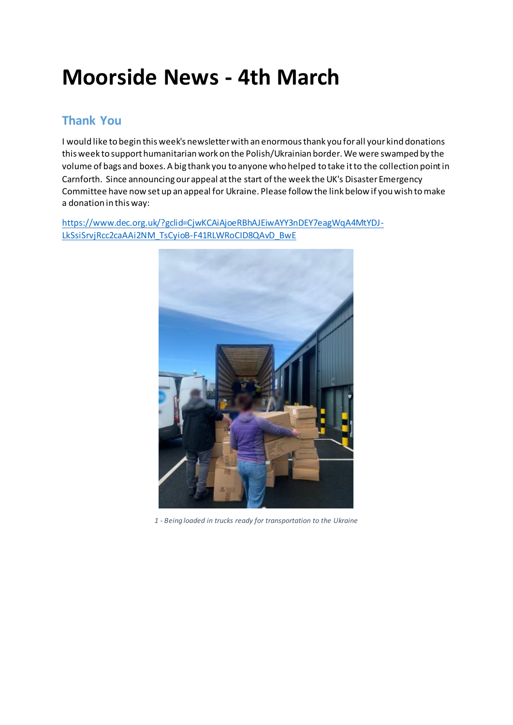# **Moorside News - 4th March**

# **Thank You**

I would like to begin this week's newsletter with an enormous thank you for all your kind donations this week to support humanitarian work on the Polish/Ukrainian border. We were swamped by the volume of bags and boxes. A big thank you to anyone who helped to take it to the collection point in Carnforth. Since announcing our appeal at the start of the week the UK's Disaster Emergency Committee have now set up an appeal for Ukraine. Please follow the link below if you wish to make a donation in this way:

[https://www.dec.org.uk/?gclid=CjwKCAiAjoeRBhAJEiwAYY3nDEY7eagWqA4MtYDJ-](https://www.dec.org.uk/?gclid=CjwKCAiAjoeRBhAJEiwAYY3nDEY7eagWqA4MtYDJ-LkSsiSrvjRcc2caAAi2NM_TsCyioB-F41RLWRoCID8QAvD_BwE)[LkSsiSrvjRcc2caAAi2NM\\_TsCyioB-F41RLWRoCID8QAvD\\_BwE](https://www.dec.org.uk/?gclid=CjwKCAiAjoeRBhAJEiwAYY3nDEY7eagWqA4MtYDJ-LkSsiSrvjRcc2caAAi2NM_TsCyioB-F41RLWRoCID8QAvD_BwE)



*1 - Being loaded in trucks ready for transportation to the Ukraine*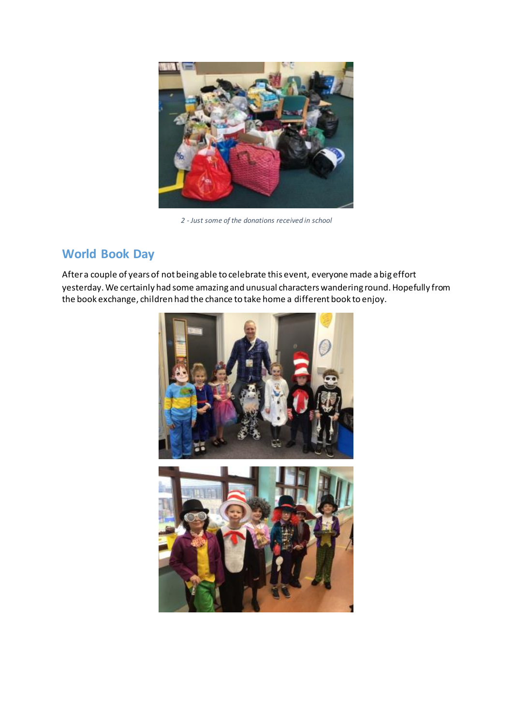

*2 - Just some of the donations received in school*

# **World Book Day**

After a couple of years of not being able to celebrate this event, everyone made a big effort yesterday. We certainly had some amazing and unusual characters wandering round. Hopefully from the book exchange, children had the chance to take home a different book to enjoy.

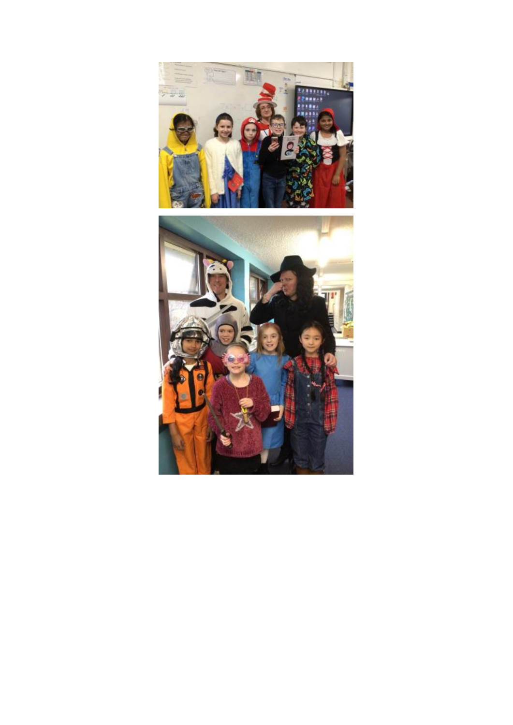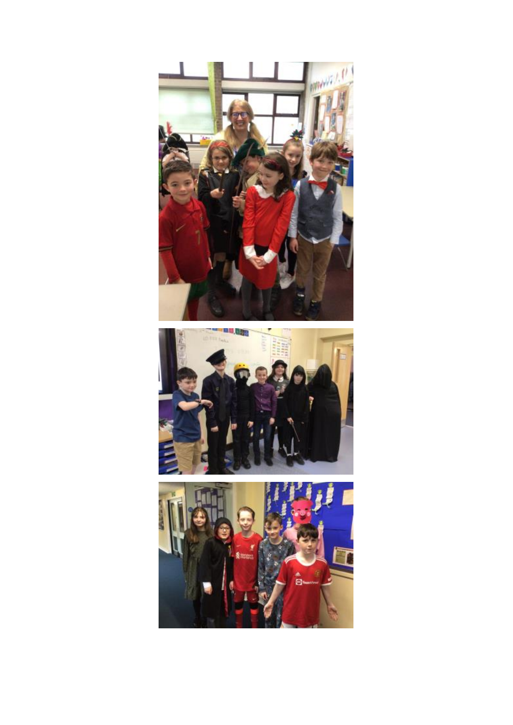



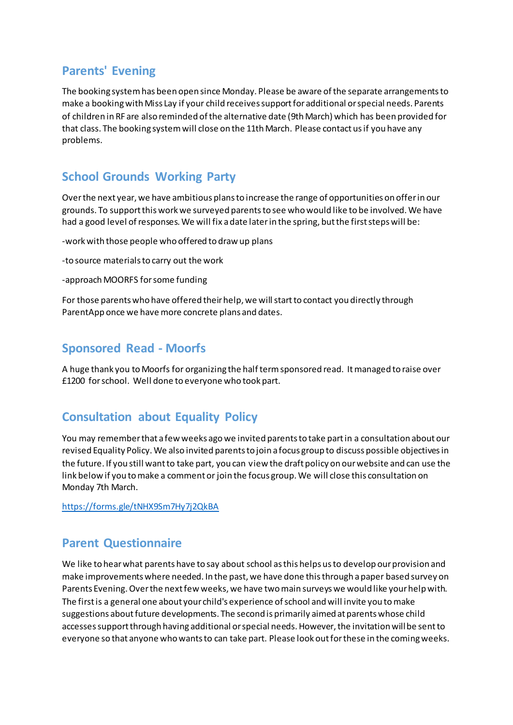### **Parents' Evening**

The booking system has been open since Monday. Please be aware of the separate arrangements to make a booking with Miss Lay if your child receives support for additional or special needs. Parents of children in RF are also reminded of the alternative date (9th March) which has been provided for that class. The booking system will close on the 11th March. Please contact us if you have any problems.

### **School Grounds Working Party**

Over the next year, we have ambitious plans to increase the range of opportunities on offer in our grounds. To support this work we surveyed parents to see who would like to be involved. We have had a good level of responses. We will fix a date later in the spring, but the first steps will be:

-work with those people who offered to draw up plans

-to source materials to carry out the work

-approach MOORFS for some funding

For those parents who have offered their help, we will start to contact you directly through ParentApp once we have more concrete plans and dates.

#### **Sponsored Read - Moorfs**

A huge thank you to Moorfs for organizing the half term sponsored read. It managed to raise over £1200 for school. Well done to everyone who took part.

## **Consultation about Equality Policy**

You may remember that a few weeks ago we invited parents to take part in a consultation about our revised Equality Policy. We also invited parents to join a focus group to discuss possible objectives in the future. If you still want to take part, you can view the draft policy on our website and can use the link below if you to make a comment or join the focus group. We will close this consultation on Monday 7th March.

<https://forms.gle/tNHX9Sm7Hy7j2QkBA>

#### **Parent Questionnaire**

We like to hear what parents have to say about school as this helps us to develop our provision and make improvements where needed. In the past, we have done this through a paper based survey on Parents Evening. Over the next few weeks, we have two main surveys we would like your help with. The first is a general one about your child's experience of school and will invite you to make suggestions about future developments. The second is primarily aimed at parents whose child accesses support through having additional or special needs. However, the invitation will be sent to everyone so that anyone who wants to can take part. Please look out for these in the coming weeks.